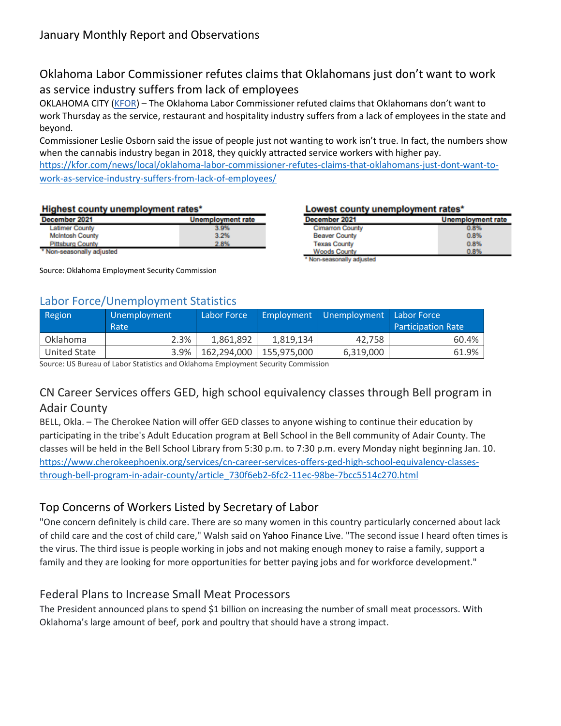# Oklahoma Labor Commissioner refutes claims that Oklahomans just don't want to work as service industry suffers from lack of employees

OKLAHOMA CITY [\(KFOR\)](http://kfor.com/) – The Oklahoma Labor Commissioner refuted claims that Oklahomans don't want to work Thursday as the service, restaurant and hospitality industry suffers from a lack of employees in the state and beyond.

Commissioner Leslie Osborn said the issue of people just not wanting to work isn't true. In fact, the numbers show when the cannabis industry began in 2018, they quickly attracted service workers with higher pay.

[https://kfor.com/news/local/oklahoma-labor-commissioner-refutes-claims-that-oklahomans-just-dont-want-to](https://kfor.com/news/local/oklahoma-labor-commissioner-refutes-claims-that-oklahomans-just-dont-want-to-work-as-service-industry-suffers-from-lack-of-employees/)[work-as-service-industry-suffers-from-lack-of-employees/](https://kfor.com/news/local/oklahoma-labor-commissioner-refutes-claims-that-oklahomans-just-dont-want-to-work-as-service-industry-suffers-from-lack-of-employees/)

#### Highest county unemployment rates\*

| December 2021             | <b>Unemployment rate</b> |
|---------------------------|--------------------------|
| <b>Latimer County</b>     | 3.9%                     |
| <b>McIntosh County</b>    | 3.2%                     |
| <b>Pittsburg County</b>   | 2.8%                     |
| * Non-seasonally adjusted |                          |

Source: Oklahoma Employment Security Commission

### Labor Force/Unemployment Statistics

|  |  | Lowest county unemployment rates* |  |
|--|--|-----------------------------------|--|

| December 2021          | <b>Unemployment rate</b> |
|------------------------|--------------------------|
| <b>Cimarron County</b> | 0.8%                     |
| <b>Beaver County</b>   | 0.8%                     |
| <b>Texas County</b>    | 0.8%                     |
| <b>Woods County</b>    | 0.8%                     |

Non-seasonally adjusted

| Region       | Unemployment<br>Rate | Labor Force |             | Employment Unemployment Labor Force | <b>Participation Rate</b> |
|--------------|----------------------|-------------|-------------|-------------------------------------|---------------------------|
| Oklahoma     | 2.3%                 | 1,861,892   | 1,819,134   | 42.758                              | 60.4%                     |
| United State | 3.9%                 | 162.294.000 | 155,975,000 | 6,319,000                           | 61.9%                     |

Source: US Bureau of Labor Statistics and Oklahoma Employment Security Commission

# CN Career Services offers GED, high school equivalency classes through Bell program in Adair County

BELL, Okla. – The Cherokee Nation will offer GED classes to anyone wishing to continue their education by participating in the tribe's Adult Education program at Bell School in the Bell community of Adair County. The classes will be held in the Bell School Library from 5:30 p.m. to 7:30 p.m. every Monday night beginning Jan. 10. [https://www.cherokeephoenix.org/services/cn-career-services-offers-ged-high-school-equivalency-classes](https://www.cherokeephoenix.org/services/cn-career-services-offers-ged-high-school-equivalency-classes-through-bell-program-in-adair-county/article_730f6eb2-6fc2-11ec-98be-7bcc5514c270.html)[through-bell-program-in-adair-county/article\\_730f6eb2-6fc2-11ec-98be-7bcc5514c270.html](https://www.cherokeephoenix.org/services/cn-career-services-offers-ged-high-school-equivalency-classes-through-bell-program-in-adair-county/article_730f6eb2-6fc2-11ec-98be-7bcc5514c270.html)

### Top Concerns of Workers Listed by Secretary of Labor

"One concern definitely is child care. There are so many women in this country particularly concerned about lack of child care and the cost of child care," Walsh said on Yahoo Finance Live. "The second issue I heard often times is the virus. The third issue is people working in jobs and not making enough money to raise a family, support a family and they are looking for more opportunities for better paying jobs and for workforce development."

### Federal Plans to Increase Small Meat Processors

The President announced plans to spend \$1 billion on increasing the number of small meat processors. With Oklahoma's large amount of beef, pork and poultry that should have a strong impact.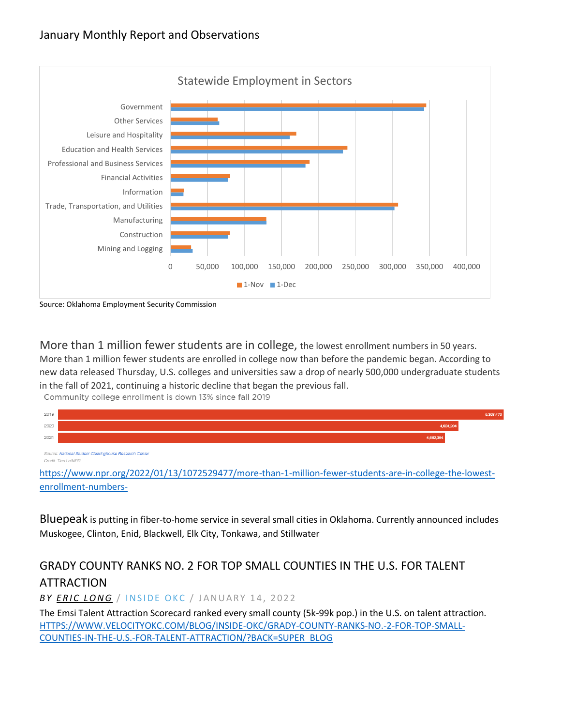

Source: Oklahoma Employment Security Commission

More than 1 million fewer students are in college, the lowest enrollment numbers in 50 years. More than 1 million fewer students are enrolled in college now than before the pandemic began. According to new data released Thursday, U.S. colleges and universities saw a drop of nearly 500,000 undergraduate students in the fall of 2021, continuing a historic decline that began the previous fall.

Community college enrollment is down 13% since fall 2019



Credit: Tien Le/NPR

[https://www.npr.org/2022/01/13/1072529477/more-than-1-million-fewer-students-are-in-college-the-lowest](https://www.npr.org/2022/01/13/1072529477/more-than-1-million-fewer-students-are-in-college-the-lowest-enrollment-numbers-)[enrollment-numbers-](https://www.npr.org/2022/01/13/1072529477/more-than-1-million-fewer-students-are-in-college-the-lowest-enrollment-numbers-)

Bluepeak is putting in fiber-to-home service in several small cities in Oklahoma. Currently announced includes Muskogee, Clinton, Enid, Blackwell, Elk City, Tonkawa, and Stillwater

# GRADY COUNTY RANKS NO. 2 FOR TOP SMALL COUNTIES IN THE U.S. FOR TALENT ATTRACTION

**BY ERIC LONG / INSIDE OKC / JANUARY 14, 2022** 

The Emsi Talent Attraction Scorecard ranked every small county (5k-99k pop.) in the U.S. on talent attraction. [HTTPS://WWW.VELOCITYOKC.COM/BLOG/INSIDE-OKC/GRADY-COUNTY-RANKS-NO.-2-FOR-TOP-SMALL-](https://www.velocityokc.com/blog/inside-okc/grady-county-ranks-no.-2-for-top-small-counties-in-the-u.s.-for-talent-attraction/?back=super_blog)[COUNTIES-IN-THE-U.S.-FOR-TALENT-ATTRACTION/?BACK=SUPER\\_BLOG](https://www.velocityokc.com/blog/inside-okc/grady-county-ranks-no.-2-for-top-small-counties-in-the-u.s.-for-talent-attraction/?back=super_blog)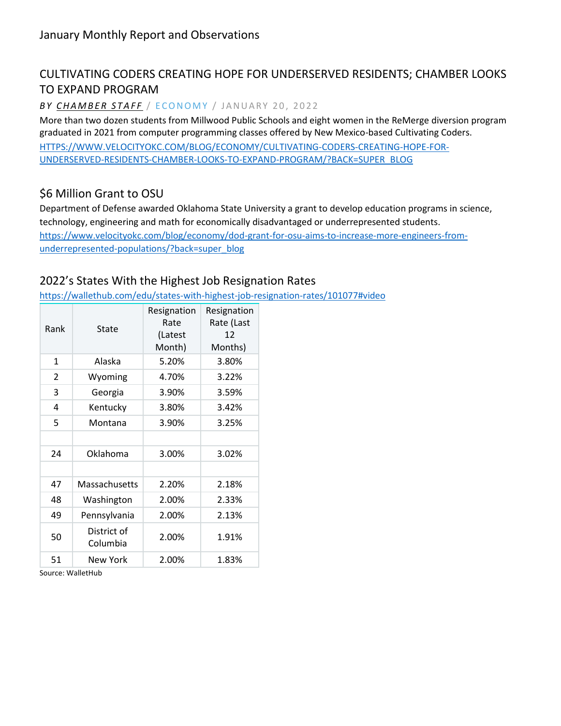# CULTIVATING CODERS CREATING HOPE FOR UNDERSERVED RESIDENTS; CHAMBER LOOKS TO EXPAND PROGRAM

BY **CHAMBER STAFF** / ECONOMY / JANUARY 20, 2022

More than two dozen students from Millwood Public Schools and eight women in the ReMerge diversion program graduated in 2021 from computer programming classes offered by New Mexico-based Cultivating Coders. [HTTPS://WWW.VELOCITYOKC.COM/BLOG/ECONOMY/CULTIVATING-CODERS-CREATING-HOPE-FOR-](https://www.velocityokc.com/blog/economy/cultivating-coders-creating-hope-for-underserved-residents-chamber-looks-to-expand-program/?back=super_blog)[UNDERSERVED-RESIDENTS-CHAMBER-LOOKS-TO-EXPAND-PROGRAM/?BACK=SUPER\\_BLOG](https://www.velocityokc.com/blog/economy/cultivating-coders-creating-hope-for-underserved-residents-chamber-looks-to-expand-program/?back=super_blog)

### \$6 Million Grant to OSU

Department of Defense awarded Oklahoma State University a grant to develop education programs in science, technology, engineering and math for economically disadvantaged or underrepresented students. [https://www.velocityokc.com/blog/economy/dod-grant-for-osu-aims-to-increase-more-engineers-from](https://www.velocityokc.com/blog/economy/dod-grant-for-osu-aims-to-increase-more-engineers-from-underrepresented-populations/?back=super_blog)[underrepresented-populations/?back=super\\_blog](https://www.velocityokc.com/blog/economy/dod-grant-for-osu-aims-to-increase-more-engineers-from-underrepresented-populations/?back=super_blog)

### 2022's States With the Highest Job Resignation Rates

<https://wallethub.com/edu/states-with-highest-job-resignation-rates/101077#video>

| Rank          | State                   | Resignation<br>Rate<br>(Latest<br>Month) | Resignation<br>Rate (Last<br>12<br>Months) |
|---------------|-------------------------|------------------------------------------|--------------------------------------------|
| 1             | Alaska                  | 5.20%                                    | 3.80%                                      |
| $\mathcal{P}$ | Wyoming                 | 4.70%                                    | 3.22%                                      |
| 3             | Georgia                 | 3.90%                                    | 3.59%                                      |
| 4             | Kentucky                | 3.80%                                    | 3.42%                                      |
| 5             | Montana                 | 3.90%                                    | 3.25%                                      |
|               |                         |                                          |                                            |
| 24            | Oklahoma                | 3.00%                                    | 3.02%                                      |
|               |                         |                                          |                                            |
| 47            | Massachusetts           | 2.20%                                    | 2.18%                                      |
| 48            | Washington              | 2.00%                                    | 2.33%                                      |
| 49            | Pennsylvania            | 2.00%                                    | 2.13%                                      |
| 50            | District of<br>Columbia | 2.00%                                    | 1.91%                                      |
| 51            | New York                | 2.00%                                    | 1.83%                                      |

Source: WalletHub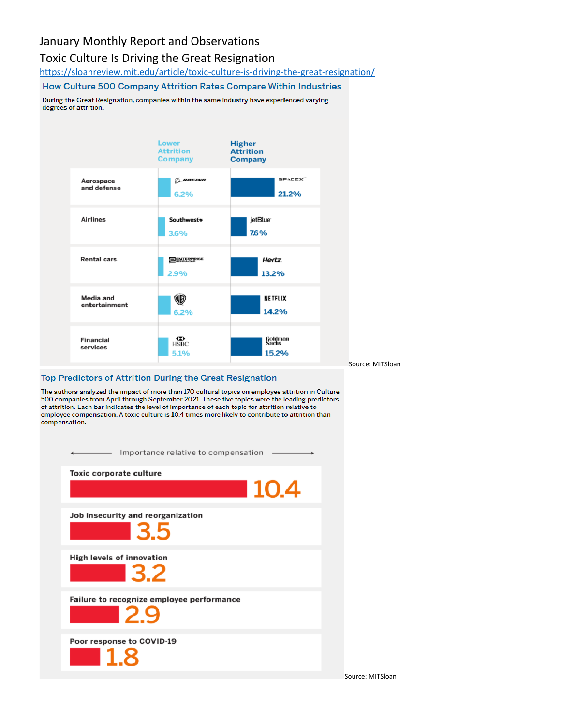### January Monthly Report and Observations

#### Toxic Culture Is Driving the Great Resignation

<https://sloanreview.mit.edu/article/toxic-culture-is-driving-the-great-resignation/>

#### How Culture 500 Company Attrition Rates Compare Within Industries

During the Great Resignation, companies within the same industry have experienced varying degrees of attrition.



#### Top Predictors of Attrition During the Great Resignation

The authors analyzed the impact of more than 170 cultural topics on employee attrition in Culture 500 companies from April through September 2021. These five topics were the leading predictors of attrition. Each bar indicates the level of importance of each topic for attrition relative to employee compensation. A toxic culture is 10.4 times more likely to contribute to attrition than compensation.

| Importance relative to compensation                    |
|--------------------------------------------------------|
| <b>Toxic corporate culture</b>                         |
| ■ 10.4                                                 |
| Job insecurity and reorganization<br><b>13.5</b>       |
| <b>High levels of innovation</b><br>$\blacksquare$ 3.2 |
| Failure to recognize employee performance<br>- 29      |
| Poor response to COVID-19<br>$\blacksquare$ 1.8        |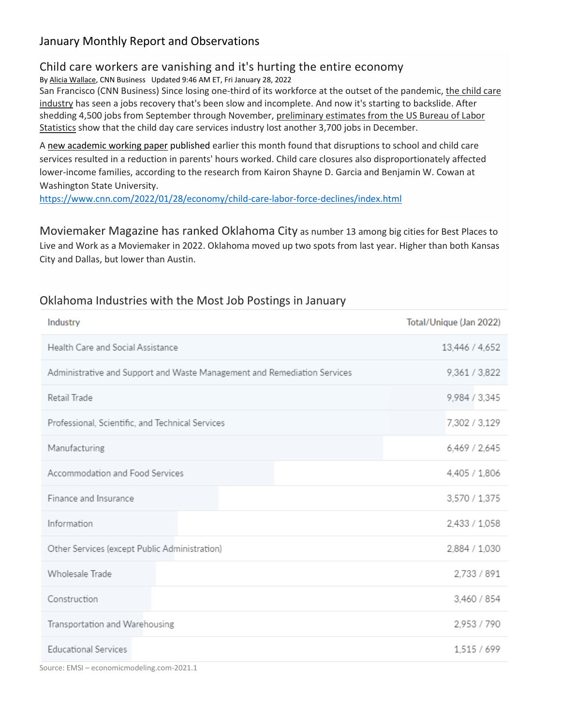# January Monthly Report and Observations

#### Child care workers are vanishing and it's hurting the entire economy

By [Alicia Wallace,](https://www.cnn.com/profiles/alicia-wallace) CNN Business Updated 9:46 AM ET, Fri January 28, 2022

San Francisco (CNN Business) Since losing one-third of its workforce at the outset of the pandemic, the child care [industry](https://www.cnn.com/2021/12/16/politics/child-care-hiring-crisis/index.html) has seen a jobs recovery that's been slow and incomplete. And now it's starting to backslide. After shedding 4,500 jobs from September through November, preliminary estimates from the US Bureau of Labor [Statistics](https://beta.bls.gov/dataViewer/view/timeseries/CES6562440001) show that the child day care services industry lost another 3,700 jobs in December.

A [new academic working paper](https://www.nber.org/papers/w29641) published earlier this month found that disruptions to school and child care services resulted in a reduction in parents' hours worked. Child care closures also disproportionately affected lower-income families, according to the research from Kairon Shayne D. Garcia and Benjamin W. Cowan at Washington State University.

<https://www.cnn.com/2022/01/28/economy/child-care-labor-force-declines/index.html>

Moviemaker Magazine has ranked Oklahoma City as number 13 among big cities for Best Places to Live and Work as a Moviemaker in 2022. Oklahoma moved up two spots from last year. Higher than both Kansas City and Dallas, but lower than Austin.

| Industry                                                                 | Total/Unique (Jan 2022) |
|--------------------------------------------------------------------------|-------------------------|
| Health Care and Social Assistance                                        | 13,446 / 4,652          |
| Administrative and Support and Waste Management and Remediation Services | 9,361 / 3,822           |
| Retail Trade                                                             | 9,984 / 3,345           |
| Professional, Scientific, and Technical Services                         | 7,302 / 3,129           |
| Manufacturing                                                            | 6,469 / 2,645           |
| Accommodation and Food Services                                          | 4,405 / 1,806           |
| Finance and Insurance                                                    | 3,570 / 1,375           |
| Information                                                              | 2,433 / 1,058           |
| Other Services (except Public Administration)                            | 2,884 / 1,030           |
| Wholesale Trade                                                          | 2,733 / 891             |
| Construction                                                             | 3,460 / 854             |
| Transportation and Warehousing                                           | 2,953 / 790             |
| <b>Educational Services</b>                                              | 1,515 / 699             |

#### Oklahoma Industries with the Most Job Postings in January

Source: EMSI – economicmodeling.com-2021.1